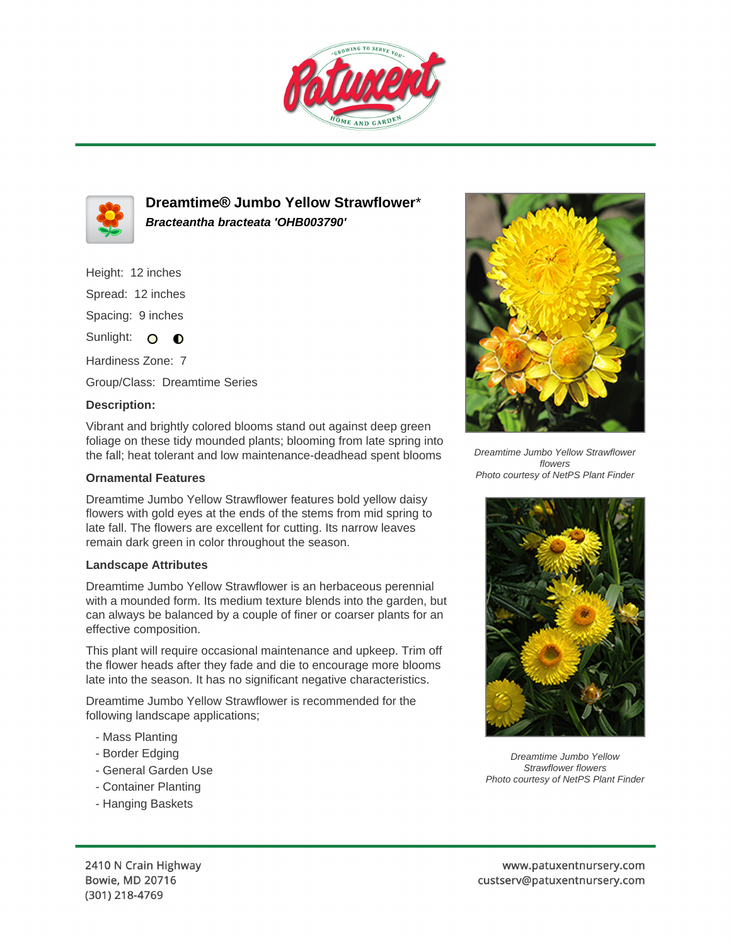



**Dreamtime® Jumbo Yellow Strawflower**\* **Bracteantha bracteata 'OHB003790'**

Height: 12 inches Spread: 12 inches Spacing: 9 inches

Sunlight: O  $\bullet$ 

Hardiness Zone: 7 Group/Class: Dreamtime Series

## **Description:**

Vibrant and brightly colored blooms stand out against deep green foliage on these tidy mounded plants; blooming from late spring into the fall; heat tolerant and low maintenance-deadhead spent blooms

## **Ornamental Features**

Dreamtime Jumbo Yellow Strawflower features bold yellow daisy flowers with gold eyes at the ends of the stems from mid spring to late fall. The flowers are excellent for cutting. Its narrow leaves remain dark green in color throughout the season.

## **Landscape Attributes**

Dreamtime Jumbo Yellow Strawflower is an herbaceous perennial with a mounded form. Its medium texture blends into the garden, but can always be balanced by a couple of finer or coarser plants for an effective composition.

This plant will require occasional maintenance and upkeep. Trim off the flower heads after they fade and die to encourage more blooms late into the season. It has no significant negative characteristics.

Dreamtime Jumbo Yellow Strawflower is recommended for the following landscape applications;

- Mass Planting
- Border Edging
- General Garden Use
- Container Planting
- Hanging Baskets



Dreamtime Jumbo Yellow Strawflower flowers Photo courtesy of NetPS Plant Finder



Dreamtime Jumbo Yellow Strawflower flowers Photo courtesy of NetPS Plant Finder

2410 N Crain Highway Bowie, MD 20716 (301) 218-4769

www.patuxentnursery.com custserv@patuxentnursery.com